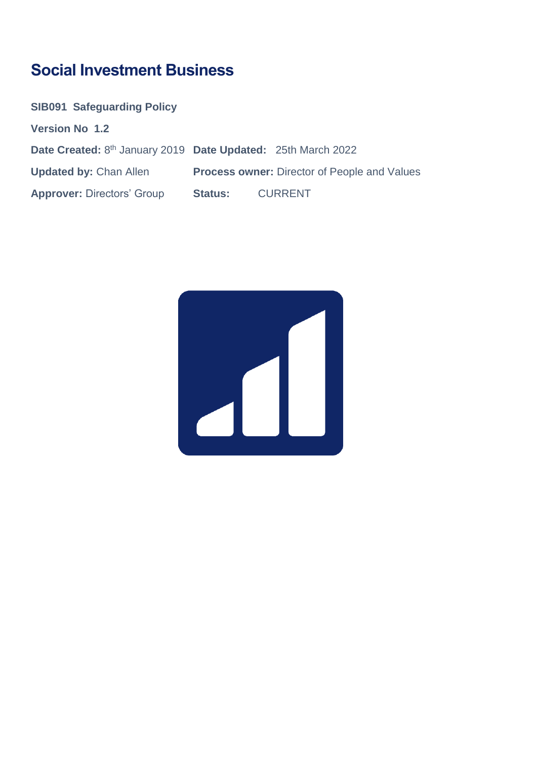# **Social Investment Business**

| <b>SIB091 Safeguarding Policy</b>                            |                |                                                     |
|--------------------------------------------------------------|----------------|-----------------------------------------------------|
| <b>Version No 1.2</b>                                        |                |                                                     |
| Date Created: 8th January 2019 Date Updated: 25th March 2022 |                |                                                     |
| <b>Updated by: Chan Allen</b>                                |                | <b>Process owner: Director of People and Values</b> |
| <b>Approver: Directors' Group</b>                            | <b>Status:</b> | CURRENT                                             |

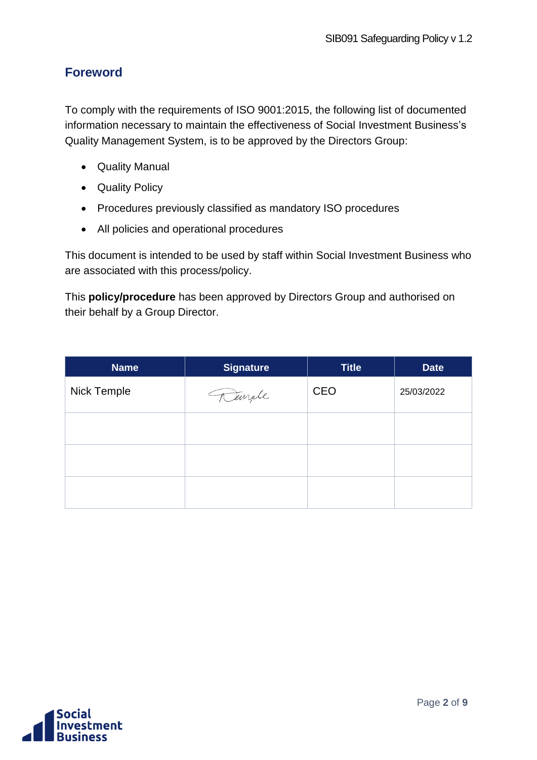### <span id="page-1-0"></span>**Foreword**

To comply with the requirements of ISO 9001:2015, the following list of documented information necessary to maintain the effectiveness of Social Investment Business's Quality Management System, is to be approved by the Directors Group:

- Quality Manual
- Quality Policy
- Procedures previously classified as mandatory ISO procedures
- All policies and operational procedures

This document is intended to be used by staff within Social Investment Business who are associated with this process/policy.

This **policy/procedure** has been approved by Directors Group and authorised on their behalf by a Group Director.

| <b>Name</b> | <b>Signature</b> | <b>Title</b> | <b>Date</b> |
|-------------|------------------|--------------|-------------|
| Nick Temple | Temple           | CEO          | 25/03/2022  |
|             |                  |              |             |
|             |                  |              |             |
|             |                  |              |             |

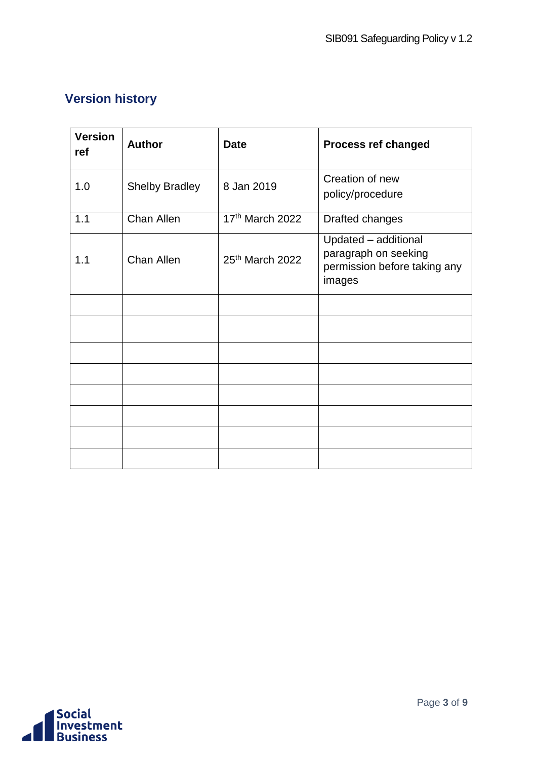## <span id="page-2-0"></span>**Version history**

| <b>Version</b><br>ref | <b>Author</b>         | <b>Date</b>     | <b>Process ref changed</b>                                                             |
|-----------------------|-----------------------|-----------------|----------------------------------------------------------------------------------------|
| 1.0                   | <b>Shelby Bradley</b> | 8 Jan 2019      | Creation of new<br>policy/procedure                                                    |
| 1.1                   | Chan Allen            | 17th March 2022 | Drafted changes                                                                        |
| 1.1                   | Chan Allen            | 25th March 2022 | Updated - additional<br>paragraph on seeking<br>permission before taking any<br>images |
|                       |                       |                 |                                                                                        |
|                       |                       |                 |                                                                                        |
|                       |                       |                 |                                                                                        |
|                       |                       |                 |                                                                                        |
|                       |                       |                 |                                                                                        |
|                       |                       |                 |                                                                                        |
|                       |                       |                 |                                                                                        |
|                       |                       |                 |                                                                                        |

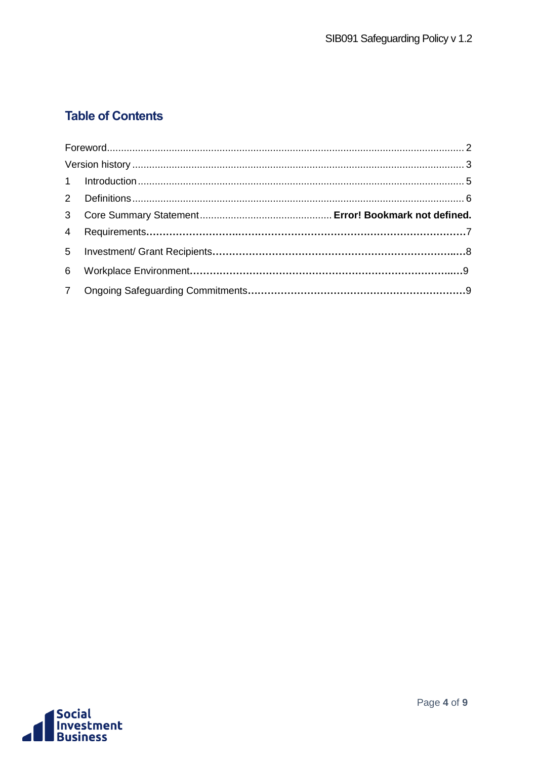### **Table of Contents**

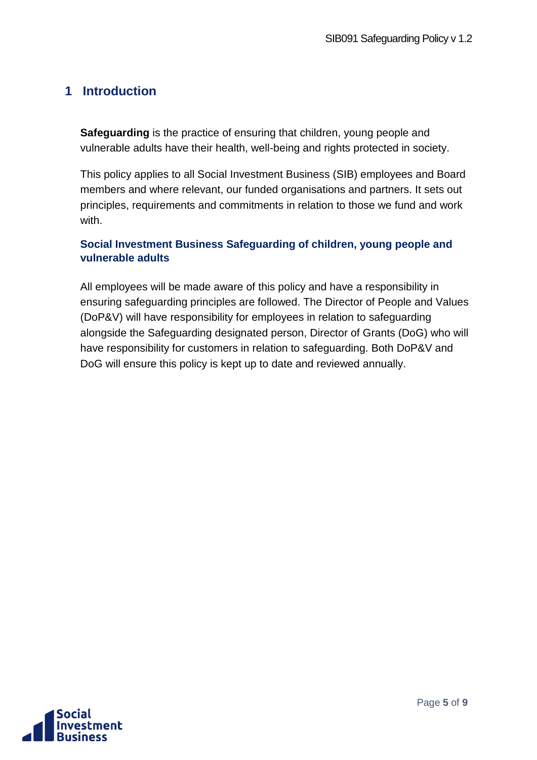### <span id="page-4-0"></span>**1 Introduction**

**Safeguarding** is the practice of ensuring that children, young people and vulnerable adults have their health, well-being and rights protected in society.

This policy applies to all Social Investment Business (SIB) employees and Board members and where relevant, our funded organisations and partners. It sets out principles, requirements and commitments in relation to those we fund and work with.

#### **Social Investment Business Safeguarding of children, young people and vulnerable adults**

All employees will be made aware of this policy and have a responsibility in ensuring safeguarding principles are followed. The Director of People and Values (DoP&V) will have responsibility for employees in relation to safeguarding alongside the Safeguarding designated person, Director of Grants (DoG) who will have responsibility for customers in relation to safeguarding. Both DoP&V and DoG will ensure this policy is kept up to date and reviewed annually.

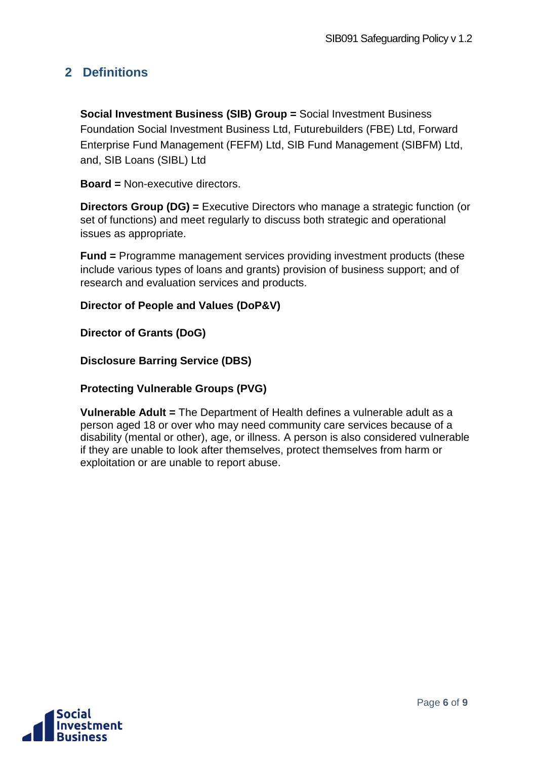### <span id="page-5-0"></span>**2 Definitions**

**Social Investment Business (SIB) Group =** Social Investment Business Foundation Social Investment Business Ltd, Futurebuilders (FBE) Ltd, Forward Enterprise Fund Management (FEFM) Ltd, SIB Fund Management (SIBFM) Ltd, and, SIB Loans (SIBL) Ltd

**Board =** Non-executive directors.

**Directors Group (DG) =** Executive Directors who manage a strategic function (or set of functions) and meet regularly to discuss both strategic and operational issues as appropriate.

**Fund =** Programme management services providing investment products (these include various types of loans and grants) provision of business support; and of research and evaluation services and products.

#### **Director of People and Values (DoP&V)**

**Director of Grants (DoG)**

**Disclosure Barring Service (DBS)** 

**Protecting Vulnerable Groups (PVG)**

**Vulnerable Adult =** The Department of Health defines a vulnerable adult as a person aged 18 or over who may need community care services because of a disability (mental or other), age, or illness. A person is also considered vulnerable if they are unable to look after themselves, protect themselves from harm or exploitation or are unable to report abuse.

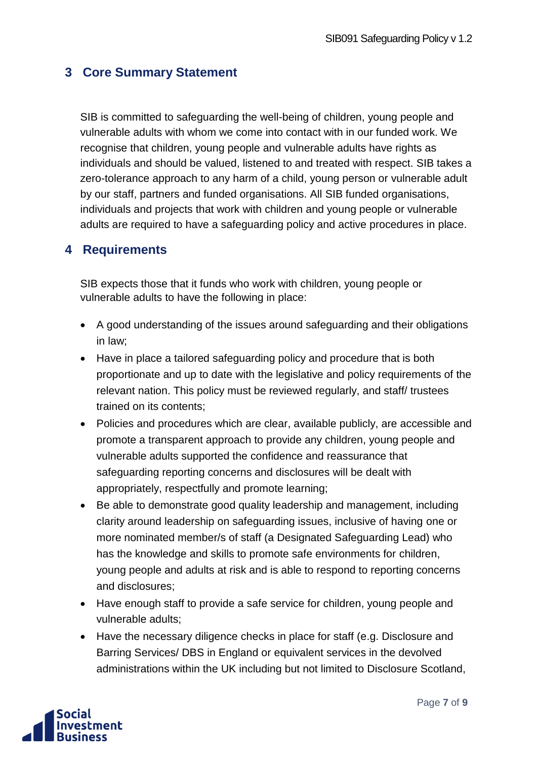### **3 Core Summary Statement**

SIB is committed to safeguarding the well-being of children, young people and vulnerable adults with whom we come into contact with in our funded work. We recognise that children, young people and vulnerable adults have rights as individuals and should be valued, listened to and treated with respect. SIB takes a zero-tolerance approach to any harm of a child, young person or vulnerable adult by our staff, partners and funded organisations. All SIB funded organisations, individuals and projects that work with children and young people or vulnerable adults are required to have a safeguarding policy and active procedures in place.

#### **4 Requirements**

SIB expects those that it funds who work with children, young people or vulnerable adults to have the following in place:

- A good understanding of the issues around safeguarding and their obligations in law;
- Have in place a tailored safeguarding policy and procedure that is both proportionate and up to date with the legislative and policy requirements of the relevant nation. This policy must be reviewed regularly, and staff/ trustees trained on its contents;
- Policies and procedures which are clear, available publicly, are accessible and promote a transparent approach to provide any children, young people and vulnerable adults supported the confidence and reassurance that safeguarding reporting concerns and disclosures will be dealt with appropriately, respectfully and promote learning;
- Be able to demonstrate good quality leadership and management, including clarity around leadership on safeguarding issues, inclusive of having one or more nominated member/s of staff (a Designated Safeguarding Lead) who has the knowledge and skills to promote safe environments for children, young people and adults at risk and is able to respond to reporting concerns and disclosures;
- Have enough staff to provide a safe service for children, young people and vulnerable adults;
- Have the necessary diligence checks in place for staff (e.g. Disclosure and Barring Services/ DBS in England or equivalent services in the devolved administrations within the UK including but not limited to Disclosure Scotland,

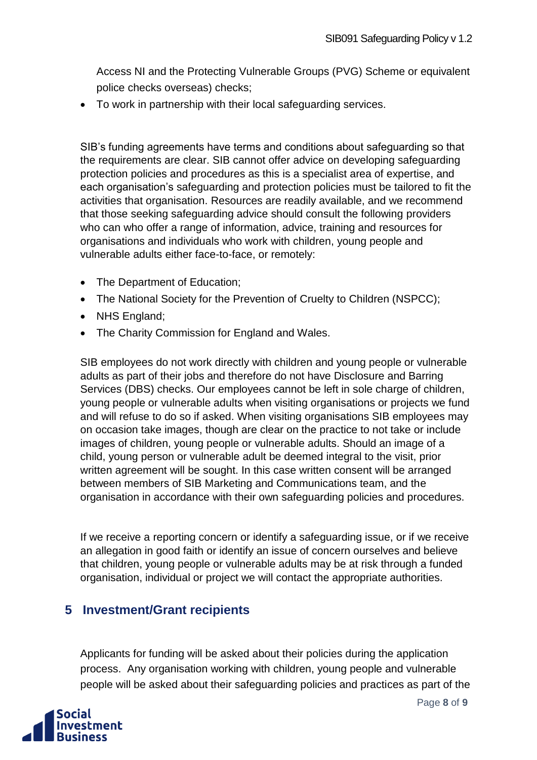Access NI and the Protecting Vulnerable Groups (PVG) Scheme or equivalent police checks overseas) checks;

• To work in partnership with their local safeguarding services.

SIB's funding agreements have terms and conditions about safeguarding so that the requirements are clear. SIB cannot offer advice on developing safeguarding protection policies and procedures as this is a specialist area of expertise, and each organisation's safeguarding and protection policies must be tailored to fit the activities that organisation. Resources are readily available, and we recommend that those seeking safeguarding advice should consult the following providers who can who offer a range of information, advice, training and resources for organisations and individuals who work with children, young people and vulnerable adults either face-to-face, or remotely:

- The Department of Education:
- The National Society for the Prevention of Cruelty to Children (NSPCC);
- NHS England:
- The Charity Commission for England and Wales.

SIB employees do not work directly with children and young people or vulnerable adults as part of their jobs and therefore do not have Disclosure and Barring Services (DBS) checks. Our employees cannot be left in sole charge of children, young people or vulnerable adults when visiting organisations or projects we fund and will refuse to do so if asked. When visiting organisations SIB employees may on occasion take images, though are clear on the practice to not take or include images of children, young people or vulnerable adults. Should an image of a child, young person or vulnerable adult be deemed integral to the visit, prior written agreement will be sought. In this case written consent will be arranged between members of SIB Marketing and Communications team, and the organisation in accordance with their own safeguarding policies and procedures.

If we receive a reporting concern or identify a safeguarding issue, or if we receive an allegation in good faith or identify an issue of concern ourselves and believe that children, young people or vulnerable adults may be at risk through a funded organisation, individual or project we will contact the appropriate authorities.

### **5 Investment/Grant recipients**

Applicants for funding will be asked about their policies during the application process. Any organisation working with children, young people and vulnerable people will be asked about their safeguarding policies and practices as part of the